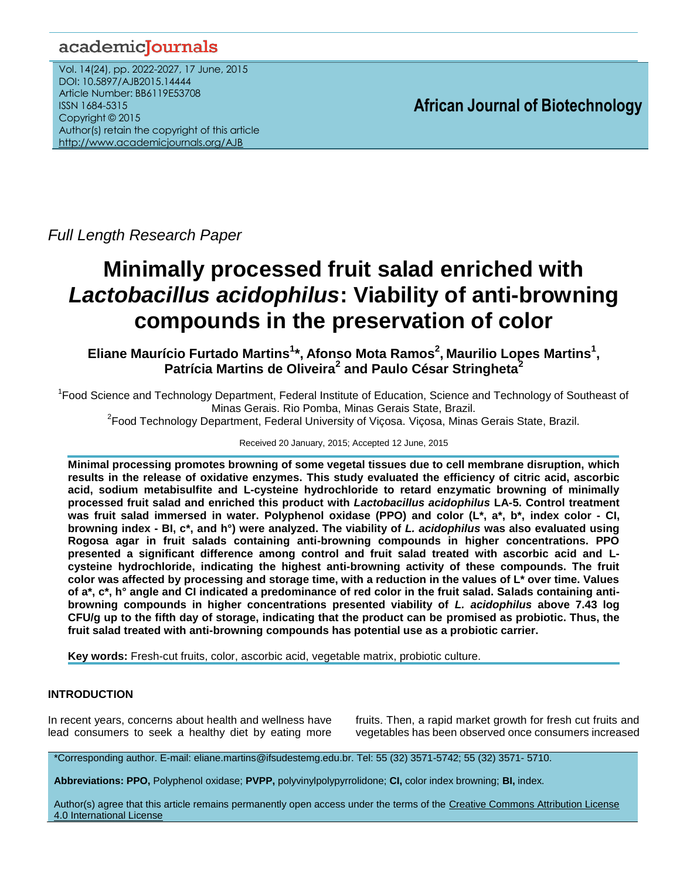# academicJournals

Vol. 14(24), pp. 2022-2027, 17 June, 2015 DOI: 10.5897/AJB2015.14444 Article Number: BB6119E53708 ISSN 1684-5315 Copyright © 2015 Author(s) retain the copyright of this article <http://www.academicjournals.org/AJB>

**African Journal of Biotechnology**

*Full Length Research Paper*

# **Minimally processed fruit salad enriched with**  *Lactobacillus acidophilus***: Viability of anti-browning compounds in the preservation of color**

**Eliane Maurício Furtado Martins<sup>1</sup> \*, Afonso Mota Ramos<sup>2</sup> , Maurilio Lopes Martins<sup>1</sup> , Patrícia Martins de Oliveira<sup>2</sup> and Paulo César Stringheta<sup>2</sup>**

<sup>1</sup> Food Science and Technology Department, Federal Institute of Education, Science and Technology of Southeast of Minas Gerais. Rio Pomba, Minas Gerais State, Brazil.

<sup>2</sup> Food Technology Department, Federal University of Viçosa. Viçosa, Minas Gerais State, Brazil.

Received 20 January, 2015; Accepted 12 June, 2015

**Minimal processing promotes browning of some vegetal tissues due to cell membrane disruption, which results in the release of oxidative enzymes. This study evaluated the efficiency of citric acid, ascorbic acid, sodium metabisulfite and L-cysteine hydrochloride to retard enzymatic browning of minimally processed fruit salad and enriched this product with** *Lactobacillus acidophilus* **LA-5. Control treatment was fruit salad immersed in water. Polyphenol oxidase (PPO) and color (L\*, a\*, b\*, index color - CI, browning index - BI, c\*, and h°) were analyzed. The viability of** *L. acidophilus* **was also evaluated using Rogosa agar in fruit salads containing anti-browning compounds in higher concentrations. PPO presented a significant difference among control and fruit salad treated with ascorbic acid and Lcysteine hydrochloride, indicating the highest anti-browning activity of these compounds. The fruit color was affected by processing and storage time, with a reduction in the values of L\* over time. Values of a\*, c\*, h° angle and CI indicated a predominance of red color in the fruit salad. Salads containing antibrowning compounds in higher concentrations presented viability of** *L. acidophilus* **above 7.43 log CFU/g up to the fifth day of storage, indicating that the product can be promised as probiotic. Thus, the fruit salad treated with anti-browning compounds has potential use as a probiotic carrier.**

**Key words:** Fresh-cut fruits, color, ascorbic acid, vegetable matrix, probiotic culture.

# **INTRODUCTION**

In recent years, concerns about health and wellness have lead consumers to seek a healthy diet by eating more fruits. Then, a rapid market growth for fresh cut fruits and vegetables has been observed once consumers increased

\*Corresponding author. E-mail: eliane.martins@ifsudestemg.edu.br. Tel: 55 (32) 3571-5742; 55 (32) 3571- 5710.

**Abbreviations: PPO,** Polyphenol oxidase; **PVPP,** polyvinylpolypyrrolidone; **CI,** color index browning; **BI,** index.

Author(s) agree that this article remains permanently open access under the terms of the Creative Commons Attribution License [4.0 International License](http://creativecommons.org/licenses/by/4.0/deed.en_US)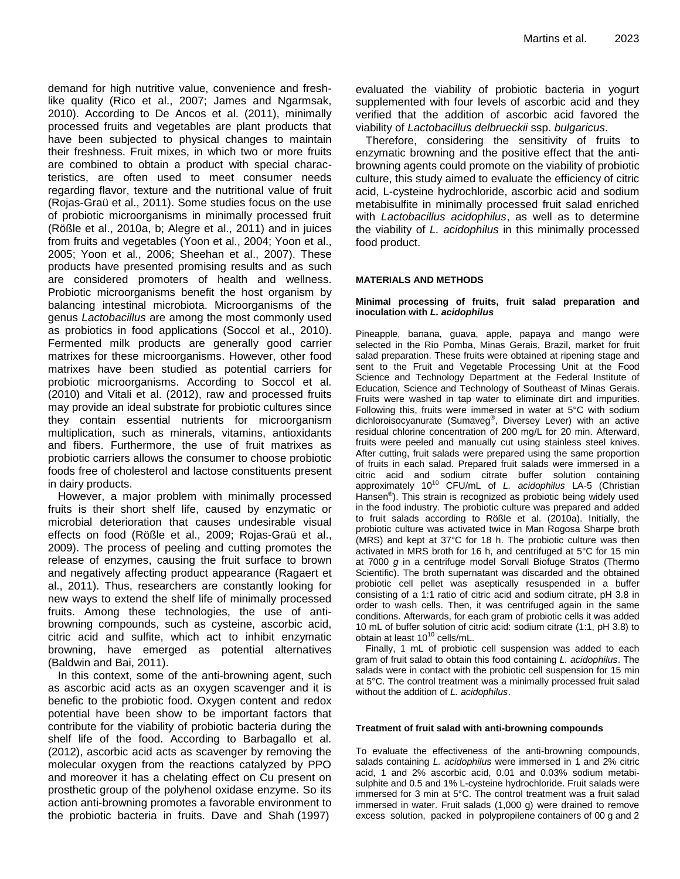demand for high nutritive value, convenience and freshlike quality (Rico et al., 2007; James and Ngarmsak, 2010). According to De Ancos et al. (2011), minimally processed fruits and vegetables are plant products that have been subjected to physical changes to maintain their freshness. Fruit mixes, in which two or more fruits are combined to obtain a product with special characteristics, are often used to meet consumer needs regarding flavor, texture and the nutritional value of fruit (Rojas-Graü et al., 2011). Some studies focus on the use of probiotic microorganisms in minimally processed fruit (Rößle et al., 2010a, b; Alegre et al., 2011) and in juices from fruits and vegetables (Yoon et al., 2004; Yoon et al., 2005; Yoon et al., 2006; Sheehan et al., 2007). These products have presented promising results and as such are considered promoters of health and wellness. Probiotic microorganisms benefit the host organism by balancing intestinal microbiota. Microorganisms of the genus *Lactobacillus* are among the most commonly used as probiotics in food applications (Soccol et al., 2010). Fermented milk products are generally good carrier matrixes for these microorganisms. However, other food matrixes have been studied as potential carriers for probiotic microorganisms. According to Soccol et al. (2010) and Vitali et al. (2012), raw and processed fruits may provide an ideal substrate for probiotic cultures since they contain essential nutrients for microorganism multiplication, such as minerals, vitamins, antioxidants and fibers. Furthermore, the use of fruit matrixes as probiotic carriers allows the consumer to choose probiotic foods free of cholesterol and lactose constituents present in dairy products.

However, a major problem with minimally processed fruits is their short shelf life, caused by enzymatic or microbial deterioration that causes undesirable visual effects on food (Rößle et al., 2009; Rojas-Graü et al., 2009). The process of peeling and cutting promotes the release of enzymes, causing the fruit surface to brown and negatively affecting product appearance (Ragaert et al., 2011). Thus, researchers are constantly looking for new ways to extend the shelf life of minimally processed fruits. Among these technologies, the use of antibrowning compounds, such as cysteine, ascorbic acid, citric acid and sulfite, which act to inhibit enzymatic browning, have emerged as potential alternatives (Baldwin and Bai, 2011).

In this context, some of the anti-browning agent, such as ascorbic acid acts as an oxygen scavenger and it is benefic to the probiotic food. Oxygen content and redox potential have been show to be important factors that contribute for the viability of probiotic bacteria during the shelf life of the food. According to Barbagallo et al. (2012), ascorbic acid acts as scavenger by removing the molecular oxygen from the reactions catalyzed by PPO and moreover it has a chelating effect on Cu present on prosthetic group of the polyhenol oxidase enzyme. So its action anti-browning promotes a favorable environment to the probiotic bacteria in fruits. Dave and Shah (1997)

evaluated the viability of probiotic bacteria in yogurt supplemented with four levels of ascorbic acid and they verified that the addition of ascorbic acid favored the viability of *Lactobacillus delbrueckii* ssp. *bulgaricus*.

Therefore, considering the sensitivity of fruits to enzymatic browning and the positive effect that the antibrowning agents could promote on the viability of probiotic culture, this study aimed to evaluate the efficiency of citric acid, L-cysteine hydrochloride, ascorbic acid and sodium metabisulfite in minimally processed fruit salad enriched with *Lactobacillus acidophilus*, as well as to determine the viability of *L. acidophilus* in this minimally processed food product.

## **MATERIALS AND METHODS**

#### **Minimal processing of fruits, fruit salad preparation and inoculation with** *L. acidophilus*

Pineapple, banana, guava, apple, papaya and mango were selected in the Rio Pomba, Minas Gerais, Brazil, market for fruit salad preparation. These fruits were obtained at ripening stage and sent to the Fruit and Vegetable Processing Unit at the Food Science and Technology Department at the Federal Institute of Education, Science and Technology of Southeast of Minas Gerais. Fruits were washed in tap water to eliminate dirt and impurities. Following this, fruits were immersed in water at 5°C with sodium dichloroisocyanurate (Sumaveg® , Diversey Lever) with an active residual chlorine concentration of 200 mg/L for 20 min. Afterward, fruits were peeled and manually cut using stainless steel knives. After cutting, fruit salads were prepared using the same proportion of fruits in each salad. Prepared fruit salads were immersed in a citric acid and sodium citrate buffer solution containing approximately 10 <sup>10</sup> CFU/mL of *L. acidophilus* LA-5 (Christian Hansen® ). This strain is recognized as probiotic being widely used in the food industry. The probiotic culture was prepared and added to fruit salads according to Rößle et al. (2010a). Initially, the probiotic culture was activated twice in Man Rogosa Sharpe broth (MRS) and kept at 37°C for 18 h. The probiotic culture was then activated in MRS broth for 16 h, and centrifuged at 5°C for 15 min at 7000 *g* in a centrifuge model Sorvall Biofuge Stratos (Thermo Scientific). The broth supernatant was discarded and the obtained probiotic cell pellet was aseptically resuspended in a buffer consisting of a 1:1 ratio of citric acid and sodium citrate, pH 3.8 in order to wash cells. Then, it was centrifuged again in the same conditions. Afterwards, for each gram of probiotic cells it was added 10 mL of buffer solution of citric acid: sodium citrate (1:1, pH 3.8) to obtain at least  $10^{10}$  cells/mL.

Finally, 1 mL of probiotic cell suspension was added to each gram of fruit salad to obtain this food containing *L. acidophilus*. The salads were in contact with the probiotic cell suspension for 15 min at 5°C. The control treatment was a minimally processed fruit salad without the addition of *L. acidophilus*.

#### **Treatment of fruit salad with anti-browning compounds**

To evaluate the effectiveness of the anti-browning compounds, salads containing *L. acidophilus* were immersed in 1 and 2% citric acid, 1 and 2% ascorbic acid, 0.01 and 0.03% sodium metabisulphite and 0.5 and 1% L-cysteine hydrochloride. Fruit salads were immersed for 3 min at 5°C. The control treatment was a fruit salad immersed in water. Fruit salads (1,000 g) were drained to remove excess solution, packed in polypropilene containers of 00 g and 2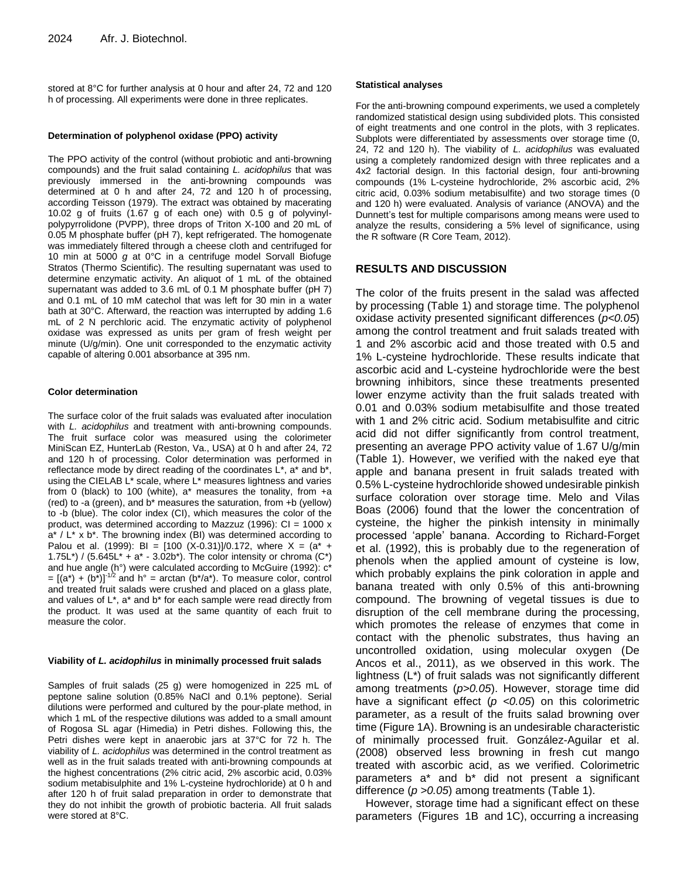stored at 8°C for further analysis at 0 hour and after 24, 72 and 120 h of processing. All experiments were done in three replicates.

#### **Determination of polyphenol oxidase (PPO) activity**

The PPO activity of the control (without probiotic and anti-browning compounds) and the fruit salad containing *L. acidophilus* that was previously immersed in the anti-browning compounds was determined at 0 h and after 24, 72 and 120 h of processing, according Teisson (1979). The extract was obtained by macerating 10.02 g of fruits (1.67 g of each one) with 0.5 g of polyvinylpolypyrrolidone (PVPP), three drops of Triton X-100 and 20 mL of 0.05 M phosphate buffer (pH 7), kept refrigerated. The homogenate was immediately filtered through a cheese cloth and centrifuged for 10 min at 5000 *g* at 0°C in a centrifuge model Sorvall Biofuge Stratos (Thermo Scientific). The resulting supernatant was used to determine enzymatic activity. An aliquot of 1 mL of the obtained supernatant was added to 3.6 mL of 0.1 M phosphate buffer (pH 7) and 0.1 mL of 10 mM catechol that was left for 30 min in a water bath at 30°C. Afterward, the reaction was interrupted by adding 1.6 mL of 2 N perchloric acid. The enzymatic activity of polyphenol oxidase was expressed as units per gram of fresh weight per minute (U/g/min). One unit corresponded to the enzymatic activity capable of altering 0.001 absorbance at 395 nm.

#### **Color determination**

The surface color of the fruit salads was evaluated after inoculation with *L. acidophilus* and treatment with anti-browning compounds. The fruit surface color was measured using the colorimeter MiniScan EZ, HunterLab (Reston, Va., USA) at 0 h and after 24, 72 and 120 h of processing. Color determination was performed in reflectance mode by direct reading of the coordinates L\*, a\* and b\*, using the CIELAB L\* scale, where L\* measures lightness and varies from 0 (black) to 100 (white),  $a^*$  measures the tonality, from  $+a$ (red) to -a (green), and b\* measures the saturation, from +b (yellow) to -b (blue). The color index (CI), which measures the color of the product, was determined according to Mazzuz (1996):  $CI = 1000 \times$  $a^*$  /  $L^*$  x  $b^*$ . The browning index (BI) was determined according to Palou et al. (1999): BI =  $[100 (X-0.31)]/0.172$ , where  $X = (a^* +$ 1.75L\*) /  $(5.645L^* + a^* - 3.02b^*)$ . The color intensity or chroma  $(C^*)$ and hue angle (h°) were calculated according to McGuire (1992): c\* =  $[(a^*) + (b^*)]^{-1/2}$  and h° = arctan (b\*/a\*). To measure color, control and treated fruit salads were crushed and placed on a glass plate, and values of L\*, a\* and b\* for each sample were read directly from the product. It was used at the same quantity of each fruit to measure the color.

#### **Viability of** *L. acidophilus* **in minimally processed fruit salads**

Samples of fruit salads (25 g) were homogenized in 225 mL of peptone saline solution (0.85% NaCl and 0.1% peptone). Serial dilutions were performed and cultured by the pour-plate method, in which 1 mL of the respective dilutions was added to a small amount of Rogosa SL agar (Himedia) in Petri dishes. Following this, the Petri dishes were kept in anaerobic jars at 37°C for 72 h. The viability of *L. acidophilus* was determined in the control treatment as well as in the fruit salads treated with anti-browning compounds at the highest concentrations (2% citric acid, 2% ascorbic acid, 0.03% sodium metabisulphite and 1% L-cysteine hydrochloride) at 0 h and after 120 h of fruit salad preparation in order to demonstrate that they do not inhibit the growth of probiotic bacteria. All fruit salads were stored at 8°C.

#### **Statistical analyses**

For the anti-browning compound experiments, we used a completely randomized statistical design using subdivided plots. This consisted of eight treatments and one control in the plots, with 3 replicates. Subplots were differentiated by assessments over storage time (0, 24, 72 and 120 h). The viability of *L. acidophilus* was evaluated using a completely randomized design with three replicates and a 4x2 factorial design. In this factorial design, four anti-browning compounds (1% L-cysteine hydrochloride, 2% ascorbic acid, 2% citric acid, 0.03% sodium metabisulfite) and two storage times (0 and 120 h) were evaluated. Analysis of variance (ANOVA) and the Dunnett's test for multiple comparisons among means were used to analyze the results, considering a 5% level of significance, using the R software (R Core Team, 2012).

# **RESULTS AND DISCUSSION**

The color of the fruits present in the salad was affected by processing (Table 1) and storage time. The polyphenol oxidase activity presented significant differences (*p<0.05*) among the control treatment and fruit salads treated with 1 and 2% ascorbic acid and those treated with 0.5 and 1% L-cysteine hydrochloride. These results indicate that ascorbic acid and L-cysteine hydrochloride were the best browning inhibitors, since these treatments presented lower enzyme activity than the fruit salads treated with 0.01 and 0.03% sodium metabisulfite and those treated with 1 and 2% citric acid. Sodium metabisulfite and citric acid did not differ significantly from control treatment, presenting an average PPO activity value of 1.67 U/g/min (Table 1). However, we verified with the naked eye that apple and banana present in fruit salads treated with 0.5% L-cysteine hydrochloride showed undesirable pinkish surface coloration over storage time. Melo and Vilas Boas (2006) found that the lower the concentration of cysteine, the higher the pinkish intensity in minimally processed 'apple' banana. According to Richard-Forget et al. (1992), this is probably due to the regeneration of phenols when the applied amount of cysteine is low, which probably explains the pink coloration in apple and banana treated with only 0.5% of this anti-browning compound. The browning of vegetal tissues is due to disruption of the cell membrane during the processing, which promotes the release of enzymes that come in contact with the phenolic substrates, thus having an uncontrolled oxidation, using molecular oxygen (De Ancos et al., 2011), as we observed in this work. The lightness (L\*) of fruit salads was not significantly different among treatments (*p>0.05*). However, storage time did have a significant effect (*p <0.05*) on this colorimetric parameter, as a result of the fruits salad browning over time (Figure 1A). Browning is an undesirable characteristic of minimally processed fruit. González-Aguilar et al. (2008) observed less browning in fresh cut mango treated with ascorbic acid, as we verified. Colorimetric parameters a\* and b\* did not present a significant difference (*p >0.05*) among treatments (Table 1).

However, storage time had a significant effect on these parameters (Figures 1B and 1C), occurring a increasing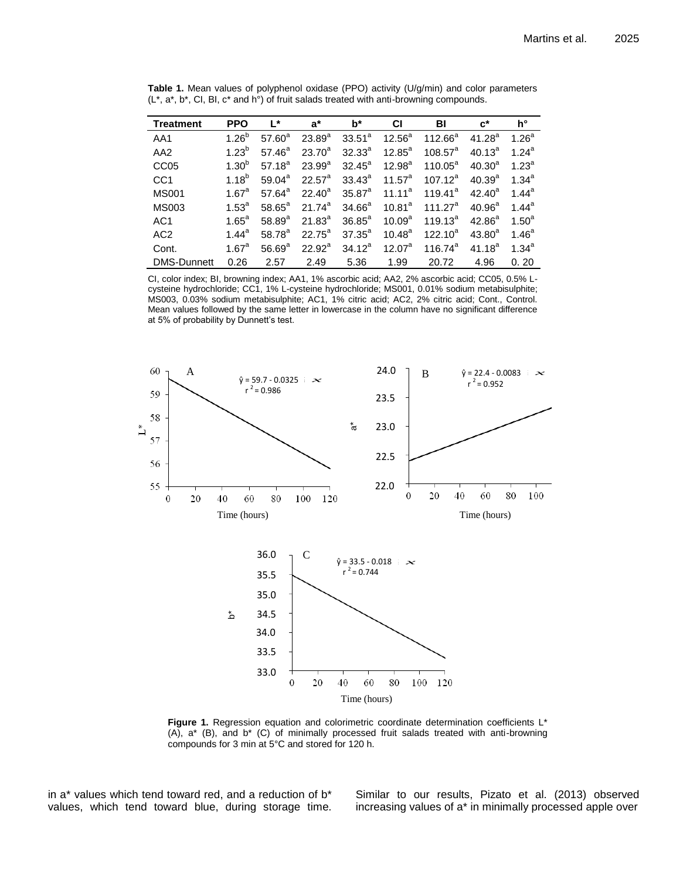| <b>Treatment</b>   | <b>PPO</b>          | Ŀ               | a*              | b*              | <b>CI</b>            | BI                  | $\mathbf{c}^*$     | h°                |
|--------------------|---------------------|-----------------|-----------------|-----------------|----------------------|---------------------|--------------------|-------------------|
| AA1                | $1.26^{b}$          | $57.60^a$       | $23.89^a$       | $33.51^{\circ}$ | $12.56^a$            | $112.66^a$          | 41.28 <sup>a</sup> | 1.26 <sup>a</sup> |
| AA <sub>2</sub>    | $1.23^{b}$          | $57.46^{\circ}$ | $23.70^a$       | $32.33^{a}$     | $12.85^a$            | $108.57^{\circ}$    | $40.13^a$          | 1 $24^a$          |
| CC <sub>05</sub>   | $1.30^{b}$          | $57.18^{a}$     | $23.99^{a}$     | $32.45^{\circ}$ | $12.98^{a}$          | $110.05^a$          | $40.30^{a}$        | 1.23 <sup>a</sup> |
| CC <sub>1</sub>    | $1.18^{b}$          | $59.04^{\circ}$ | $22.57^{\circ}$ | $33.43^{\circ}$ | $11.57^{\circ}$      | $107.12^a$          | $40.39^{a}$        | $1.34^{a}$        |
| <b>MS001</b>       | $1.67^a$            | $57.64^{\circ}$ | $22.40^a$       | $35.87^{\circ}$ | $11.11^a$            | $119.41^a$          | $42.40^a$          | $1.44^a$          |
| <b>MS003</b>       | $1.53^a$            | $58.65^{\circ}$ | $21.74^a$       | $34.66^{\circ}$ | $10.81^a$            | 111.27 <sup>a</sup> | $40.96^{\circ}$    | $1.44^a$          |
| AC <sub>1</sub>    | $1.65^a$            | $58.89^{a}$     | $21.83^{a}$     | $36.85^{\circ}$ | $10.09^{\mathrm{a}}$ | $119.13^{a}$        | $42.86^{a}$        | $1.50^{a}$        |
| AC <sub>2</sub>    | $1.44^{\circ}$      | $58.78^{a}$     | $22.75^a$       | $37.35^{\circ}$ | $10.48^a$            | $122.10^a$          | $43.80^{a}$        | $1.46^a$          |
| Cont.              | $1.67$ <sup>a</sup> | $56.69^{\circ}$ | $22.92^a$       | $34.12^a$       | $12.07^{\circ}$      | $116.74^a$          | $41.18^{a}$        | $1.34^{\circ}$    |
| <b>DMS-Dunnett</b> | 0.26                | 2.57            | 2.49            | 5.36            | 1.99                 | 20.72               | 4.96               | 0.20              |

Table 1. Mean values of polyphenol oxidase (PPO) activity (U/g/min) and color parameters (L<sup>\*</sup>, a<sup>\*</sup>, b<sup>\*</sup>, Cl, Bl, c<sup>\*</sup> and h<sup>o</sup>) of fruit salads treated with anti-browning compounds.

CI, color index; BI, browning index; AA1, 1% ascorbic acid; AA2, 2% ascorbic acid; CC05, 0.5% Lcysteine hydrochloride; CC1, 1% L-cysteine hydrochloride; MS001, 0.01% sodium metabisulphite; MS003, 0.03% sodium metabisulphite; AC1, 1% citric acid; AC2, 2% citric acid; Cont., Control. Mean values followed by the same letter in lowercase in the column have no significant difference at 5% of probability by Dunnett's test.



Figure 1. Regression equation and colorimetric coordinate determination coefficients L\* (A), a\* (B), and b\* (C) of minimally processed fruit salads treated with anti-browning compounds for 3 min at 5°C and stored for 120 h.

in a\* values which tend toward red, and a reduction of b\* values, which tend toward blue, during storage time.

Similar to our results, Pizato et al. (2013) observed increasing values of a\* in minimally processed apple over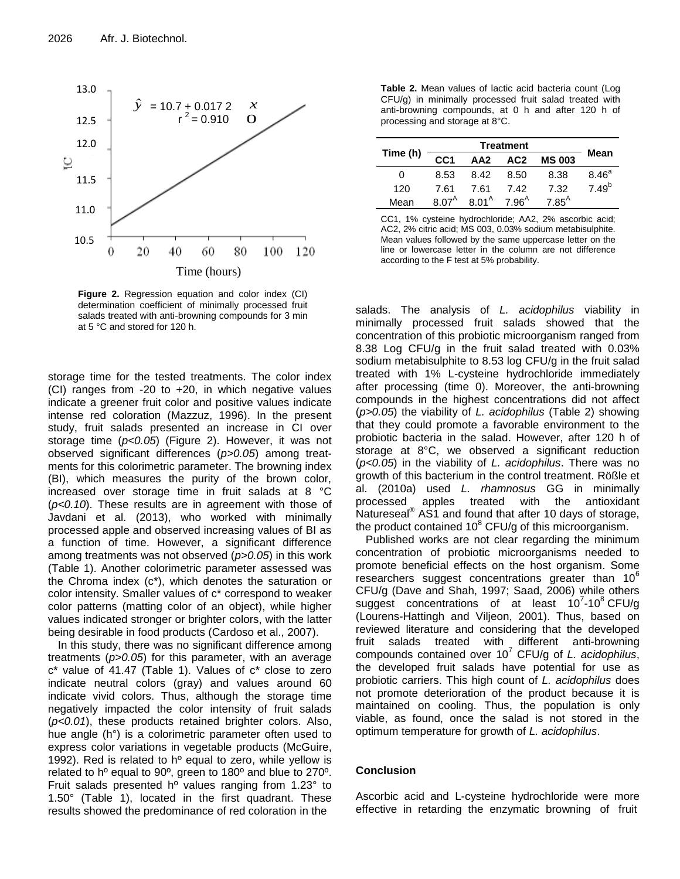

**Figure 2.** Regression equation and color index (CI) determination coefficient of minimally processed fruit salads treated with anti-browning compounds for 3 min at 5 °C and stored for 120 h.

storage time for the tested treatments. The color index (CI) ranges from -20 to +20, in which negative values indicate a greener fruit color and positive values indicate intense red coloration (Mazzuz, 1996). In the present study, fruit salads presented an increase in CI over storage time (*p<0.05*) (Figure 2). However, it was not observed significant differences (*p>0.05*) among treatments for this colorimetric parameter. The browning index (BI), which measures the purity of the brown color, increased over storage time in fruit salads at 8 °C (*p<0.10*). These results are in agreement with those of Javdani et al. (2013), who worked with minimally processed apple and observed increasing values of BI as a function of time. However, a significant difference among treatments was not observed (*p>0.05*) in this work (Table 1). Another colorimetric parameter assessed was the Chroma index (c\*), which denotes the saturation or color intensity. Smaller values of c\* correspond to weaker color patterns (matting color of an object), while higher values indicated stronger or brighter colors, with the latter being desirable in food products (Cardoso et al., 2007).

In this study, there was no significant difference among treatments (*p>0.05*) for this parameter, with an average c\* value of 41.47 (Table 1). Values of c\* close to zero indicate neutral colors (gray) and values around 60 indicate vivid colors. Thus, although the storage time negatively impacted the color intensity of fruit salads (*p<0.01*), these products retained brighter colors. Also, hue angle (h°) is a colorimetric parameter often used to express color variations in vegetable products (McGuire, 1992). Red is related to  $h^0$  equal to zero, while yellow is related to hº equal to 90º, green to 180º and blue to 270º. Fruit salads presented hº values ranging from 1.23° to 1.50° (Table 1), located in the first quadrant. These results showed the predominance of red coloration in the

**Table 2.** Mean values of lactic acid bacteria count (Log CFU/g) in minimally processed fruit salad treated with anti-browning compounds, at 0 h and after 120 h of processing and storage at 8°C.

| Time (h) |                 | Mean              |                   |                   |                   |
|----------|-----------------|-------------------|-------------------|-------------------|-------------------|
|          | CC <sub>1</sub> | AA2               | AC2               | <b>MS 003</b>     |                   |
| $\Omega$ | 8.53            | 8.42              | 8.50              | 8.38              | 8.46 <sup>a</sup> |
| 120      | 7.61            | 7.61              | 7.42              | 7.32              | $7.49^{b}$        |
| Mean     | 8.0 $7^A$       | $8.01^{\text{A}}$ | 7.96 <sup>A</sup> | 7.85 <sup>A</sup> |                   |

CC1, 1% cysteine hydrochloride; AA2, 2% ascorbic acid; AC2, 2% citric acid; MS 003, 0.03% sodium metabisulphite. Mean values followed by the same uppercase letter on the line or lowercase letter in the column are not difference according to the F test at 5% probability.

salads. The analysis of *L. acidophilus* viability in minimally processed fruit salads showed that the concentration of this probiotic microorganism ranged from 8.38 Log CFU/g in the fruit salad treated with 0.03% sodium metabisulphite to 8.53 log CFU/g in the fruit salad treated with 1% L-cysteine hydrochloride immediately after processing (time 0). Moreover, the anti-browning compounds in the highest concentrations did not affect (*p>0.05*) the viability of *L. acidophilus* (Table 2) showing that they could promote a favorable environment to the probiotic bacteria in the salad. However, after 120 h of storage at 8°C, we observed a significant reduction (*p<0.05*) in the viability of *L. acidophilus*. There was no growth of this bacterium in the control treatment. Rößle et al. (2010a) used *L. rhamnosus* GG in minimally processed apples treated with the antioxidant .<br>Natureseal<sup>®</sup> AS1 and found that after 10 days of storage, the product contained  $10^8$  CFU/g of this microorganism.

Published works are not clear regarding the minimum concentration of probiotic microorganisms needed to promote beneficial effects on the host organism. Some researchers suggest concentrations greater than  $10^{\circ}$ CFU/g (Dave and Shah, 1997; Saad, 2006) while others suggest concentrations of at least  $10^7$ -10 $^8$  CFU/g (Lourens-Hattingh and Viljeon, 2001). Thus, based on reviewed literature and considering that the developed fruit salads treated with different anti-browning compounds contained over 10<sup>7</sup> CFU/g of *L. acidophilus*, the developed fruit salads have potential for use as probiotic carriers. This high count of *L. acidophilus* does not promote deterioration of the product because it is maintained on cooling. Thus, the population is only viable, as found, once the salad is not stored in the optimum temperature for growth of *L. acidophilus*.

## **Conclusion**

Ascorbic acid and L-cysteine hydrochloride were more effective in retarding the enzymatic browning of fruit